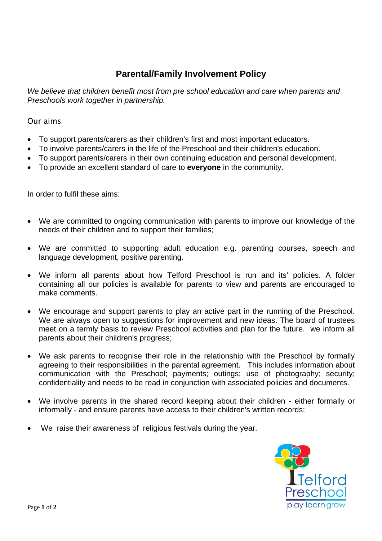## **Parental/Family Involvement Policy**

*We believe that children benefit most from pre school education and care when parents and Preschools work together in partnership.* 

## Our aims

- To support parents/carers as their children's first and most important educators.
- To involve parents/carers in the life of the Preschool and their children's education.
- To support parents/carers in their own continuing education and personal development.
- To provide an excellent standard of care to **everyone** in the community.

In order to fulfil these aims:

- We are committed to ongoing communication with parents to improve our knowledge of the needs of their children and to support their families;
- We are committed to supporting adult education e.g. parenting courses, speech and language development, positive parenting.
- We inform all parents about how Telford Preschool is run and its' policies. A folder containing all our policies is available for parents to view and parents are encouraged to make comments.
- We encourage and support parents to play an active part in the running of the Preschool. We are always open to suggestions for improvement and new ideas. The board of trustees meet on a termly basis to review Preschool activities and plan for the future. we inform all parents about their children's progress;
- We ask parents to recognise their role in the relationship with the Preschool by formally agreeing to their responsibilities in the parental agreement. This includes information about communication with the Preschool; payments; outings; use of photography; security; confidentiality and needs to be read in conjunction with associated policies and documents.
- We involve parents in the shared record keeping about their children either formally or informally - and ensure parents have access to their children's written records;
- We raise their awareness of religious festivals during the year.